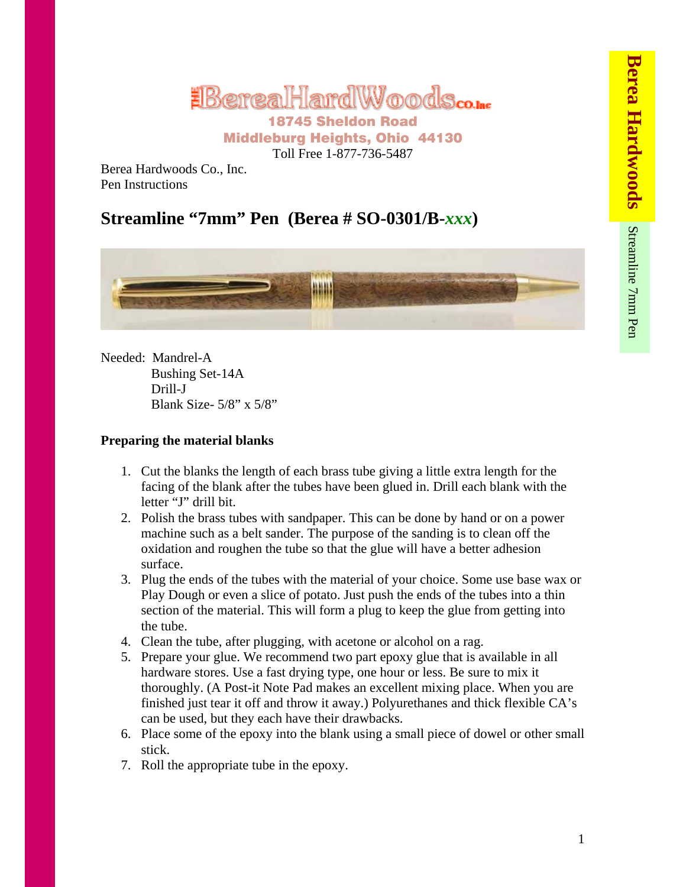# **EBereaHardWoods**

Middleburg Heights, Ohio 44130 Toll Free 1-877-736-5487

Berea Hardwoods Co., Inc. Pen Instructions

# **Streamline "7mm" Pen (Berea # SO-0301/B-***xxx***)**



Needed: Mandrel-A Bushing Set-14A Drill-J Blank Size- 5/8" x 5/8"

## **Preparing the material blanks**

- 1. Cut the blanks the length of each brass tube giving a little extra length for the facing of the blank after the tubes have been glued in. Drill each blank with the letter "J" drill bit.
- 2. Polish the brass tubes with sandpaper. This can be done by hand or on a power machine such as a belt sander. The purpose of the sanding is to clean off the oxidation and roughen the tube so that the glue will have a better adhesion surface.
- 3. Plug the ends of the tubes with the material of your choice. Some use base wax or Play Dough or even a slice of potato. Just push the ends of the tubes into a thin section of the material. This will form a plug to keep the glue from getting into the tube.
- 4. Clean the tube, after plugging, with acetone or alcohol on a rag.
- 5. Prepare your glue. We recommend two part epoxy glue that is available in all hardware stores. Use a fast drying type, one hour or less. Be sure to mix it thoroughly. (A Post-it Note Pad makes an excellent mixing place. When you are finished just tear it off and throw it away.) Polyurethanes and thick flexible CA's can be used, but they each have their drawbacks.
- 6. Place some of the epoxy into the blank using a small piece of dowel or other small stick.
- 7. Roll the appropriate tube in the epoxy.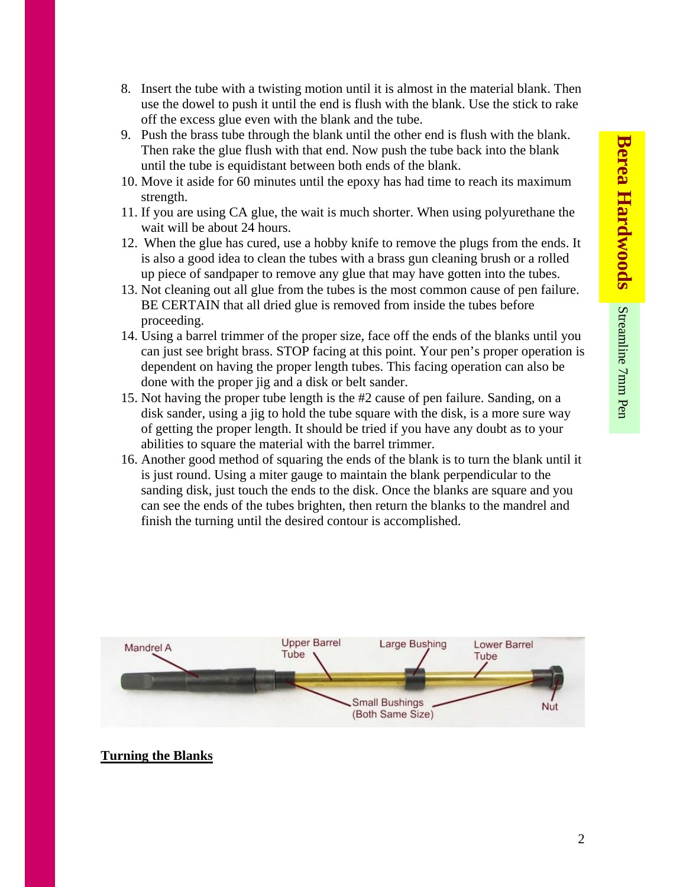- 8. Insert the tube with a twisting motion until it is almost in the material blank. Then use the dowel to push it until the end is flush with the blank. Use the stick to rake off the excess glue even with the blank and the tube.
- 9. Push the brass tube through the blank until the other end is flush with the blank. Then rake the glue flush with that end. Now push the tube back into the blank until the tube is equidistant between both ends of the blank.
- 10. Move it aside for 60 minutes until the epoxy has had time to reach its maximum strength.
- 11. If you are using CA glue, the wait is much shorter. When using polyurethane the wait will be about 24 hours.
- 12. When the glue has cured, use a hobby knife to remove the plugs from the ends. It is also a good idea to clean the tubes with a brass gun cleaning brush or a rolled up piece of sandpaper to remove any glue that may have gotten into the tubes.
- 13. Not cleaning out all glue from the tubes is the most common cause of pen failure. BE CERTAIN that all dried glue is removed from inside the tubes before proceeding.
- 14. Using a barrel trimmer of the proper size, face off the ends of the blanks until you can just see bright brass. STOP facing at this point. Your pen's proper operation is dependent on having the proper length tubes. This facing operation can also be done with the proper jig and a disk or belt sander.
- 15. Not having the proper tube length is the #2 cause of pen failure. Sanding, on a disk sander, using a jig to hold the tube square with the disk, is a more sure way of getting the proper length. It should be tried if you have any doubt as to your abilities to square the material with the barrel trimmer.
- 16. Another good method of squaring the ends of the blank is to turn the blank until it is just round. Using a miter gauge to maintain the blank perpendicular to the sanding disk, just touch the ends to the disk. Once the blanks are square and you can see the ends of the tubes brighten, then return the blanks to the mandrel and finish the turning until the desired contour is accomplished.



### **Turning the Blanks**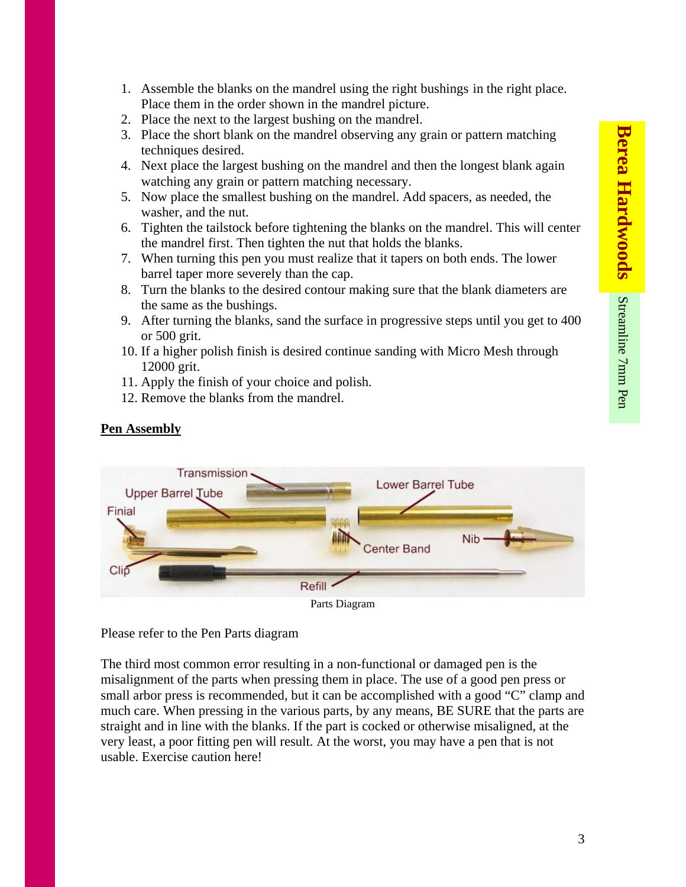- 1. Assemble the blanks on the mandrel using the right bushings in the right place. Place them in the order shown in the mandrel picture.
- 2. Place the next to the largest bushing on the mandrel.
- 3. Place the short blank on the mandrel observing any grain or pattern matching techniques desired.
- 4. Next place the largest bushing on the mandrel and then the longest blank again watching any grain or pattern matching necessary.
- 5. Now place the smallest bushing on the mandrel. Add spacers, as needed, the washer, and the nut.
- 6. Tighten the tailstock before tightening the blanks on the mandrel. This will center the mandrel first. Then tighten the nut that holds the blanks.
- 7. When turning this pen you must realize that it tapers on both ends. The lower barrel taper more severely than the cap.
- 8. Turn the blanks to the desired contour making sure that the blank diameters are the same as the bushings.
- 9. After turning the blanks, sand the surface in progressive steps until you get to 400 or 500 grit.
- 10. If a higher polish finish is desired continue sanding with Micro Mesh through 12000 grit.
- 11. Apply the finish of your choice and polish.
- 12. Remove the blanks from the mandrel.

### **Pen Assembly**



Parts Diagram

Please refer to the Pen Parts diagram

The third most common error resulting in a non-functional or damaged pen is the misalignment of the parts when pressing them in place. The use of a good pen press or small arbor press is recommended, but it can be accomplished with a good "C" clamp and much care. When pressing in the various parts, by any means, BE SURE that the parts are straight and in line with the blanks. If the part is cocked or otherwise misaligned, at the very least, a poor fitting pen will result. At the worst, you may have a pen that is not usable. Exercise caution here!